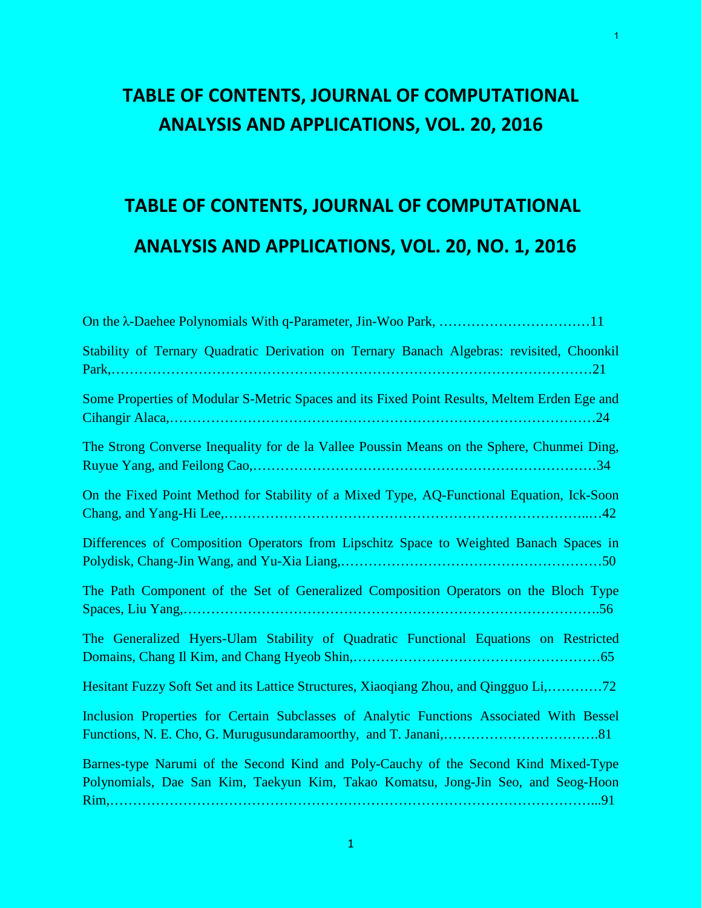### **TABLE OF CONTENTS, JOURNAL OF COMPUTATIONAL ANALYSIS AND APPLICATIONS, VOL. 20, 2016**

1

# **TABLE OF CONTENTS, JOURNAL OF COMPUTATIONAL ANALYSIS AND APPLICATIONS, VOL. 20, NO. 1, 2016**

| Stability of Ternary Quadratic Derivation on Ternary Banach Algebras: revisited, Choonkil                                                                                |
|--------------------------------------------------------------------------------------------------------------------------------------------------------------------------|
| Some Properties of Modular S-Metric Spaces and its Fixed Point Results, Meltem Erden Ege and                                                                             |
| The Strong Converse Inequality for de la Vallee Poussin Means on the Sphere, Chunmei Ding,                                                                               |
| On the Fixed Point Method for Stability of a Mixed Type, AQ-Functional Equation, Ick-Soon                                                                                |
| Differences of Composition Operators from Lipschitz Space to Weighted Banach Spaces in                                                                                   |
| The Path Component of the Set of Generalized Composition Operators on the Bloch Type<br>Spaces, Liu Yang,                                                                |
| The Generalized Hyers-Ulam Stability of Quadratic Functional Equations on Restricted                                                                                     |
| Hesitant Fuzzy Soft Set and its Lattice Structures, Xiaoqiang Zhou, and Qingguo Li,72                                                                                    |
| Inclusion Properties for Certain Subclasses of Analytic Functions Associated With Bessel                                                                                 |
| Barnes-type Narumi of the Second Kind and Poly-Cauchy of the Second Kind Mixed-Type<br>Polynomials, Dae San Kim, Taekyun Kim, Takao Komatsu, Jong-Jin Seo, and Seog-Hoon |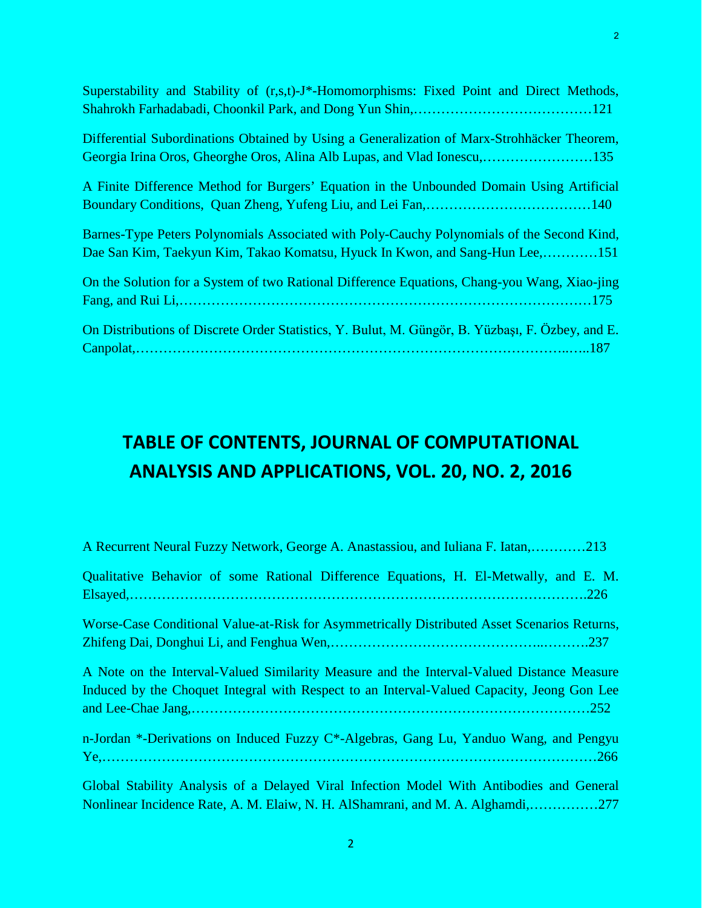| Superstability and Stability of (r,s,t)-J*-Homomorphisms: Fixed Point and Direct Methods,                                                                                  |
|----------------------------------------------------------------------------------------------------------------------------------------------------------------------------|
| Differential Subordinations Obtained by Using a Generalization of Marx-Strohhäcker Theorem,<br>Georgia Irina Oros, Gheorghe Oros, Alina Alb Lupas, and Vlad Ionescu,135    |
| A Finite Difference Method for Burgers' Equation in the Unbounded Domain Using Artificial                                                                                  |
| Barnes-Type Peters Polynomials Associated with Poly-Cauchy Polynomials of the Second Kind,<br>Dae San Kim, Taekyun Kim, Takao Komatsu, Hyuck In Kwon, and Sang-Hun Lee,151 |
| On the Solution for a System of two Rational Difference Equations, Chang-you Wang, Xiao-jing                                                                               |
| On Distributions of Discrete Order Statistics, Y. Bulut, M. Güngör, B. Yüzbaşı, F. Özbey, and E.                                                                           |

### **TABLE OF CONTENTS, JOURNAL OF COMPUTATIONAL ANALYSIS AND APPLICATIONS, VOL. 20, NO. 2, 2016**

| A Recurrent Neural Fuzzy Network, George A. Anastassiou, and Iuliana F. Iatan,213            |
|----------------------------------------------------------------------------------------------|
| Qualitative Behavior of some Rational Difference Equations, H. El-Metwally, and E. M.        |
| .226                                                                                         |
| Worse-Case Conditional Value-at-Risk for Asymmetrically Distributed Asset Scenarios Returns, |
|                                                                                              |
| A Note on the Interval-Valued Similarity Measure and the Interval-Valued Distance Measure    |
| Induced by the Choquet Integral with Respect to an Interval-Valued Capacity, Jeong Gon Lee   |
|                                                                                              |
| n-Jordan *-Derivations on Induced Fuzzy C*-Algebras, Gang Lu, Yanduo Wang, and Pengyu        |
|                                                                                              |
| Global Stability Analysis of a Delayed Viral Infection Model With Antibodies and General     |

Nonlinear Incidence Rate, A. M. Elaiw, N. H. AlShamrani, and M. A. Alghamdi,……………277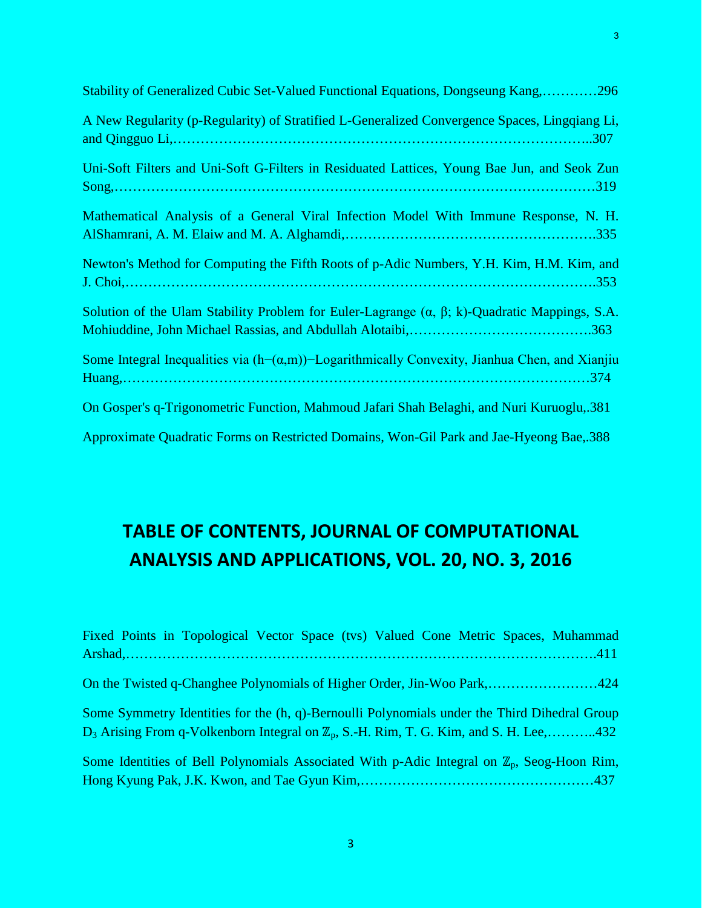| Stability of Generalized Cubic Set-Valued Functional Equations, Dongseung Kang,296                       |
|----------------------------------------------------------------------------------------------------------|
| A New Regularity (p-Regularity) of Stratified L-Generalized Convergence Spaces, Lingqiang Li,            |
| Uni-Soft Filters and Uni-Soft G-Filters in Residuated Lattices, Young Bae Jun, and Seok Zun              |
| Mathematical Analysis of a General Viral Infection Model With Immune Response, N. H.                     |
| Newton's Method for Computing the Fifth Roots of p-Adic Numbers, Y.H. Kim, H.M. Kim, and                 |
| Solution of the Ulam Stability Problem for Euler-Lagrange $(\alpha, \beta; k)$ -Quadratic Mappings, S.A. |
| Some Integral Inequalities via $(h-(\alpha,m))$ –Logarithmically Convexity, Jianhua Chen, and Xianjiu    |
| On Gosper's q-Trigonometric Function, Mahmoud Jafari Shah Belaghi, and Nuri Kuruoglu, 381                |
| Approximate Quadratic Forms on Restricted Domains, Won-Gil Park and Jae-Hyeong Bae, 388                  |

# **TABLE OF CONTENTS, JOURNAL OF COMPUTATIONAL ANALYSIS AND APPLICATIONS, VOL. 20, NO. 3, 2016**

| Fixed Points in Topological Vector Space (tvs) Valued Cone Metric Spaces, Muhammad                     |  |
|--------------------------------------------------------------------------------------------------------|--|
|                                                                                                        |  |
| On the Twisted q-Changhee Polynomials of Higher Order, Jin-Woo Park,424                                |  |
| Some Symmetry Identities for the (h, q)-Bernoulli Polynomials under the Third Dihedral Group           |  |
| $D_3$ Arising From q-Volkenborn Integral on $\mathbb{Z}_p$ , S.-H. Rim, T. G. Kim, and S. H. Lee,432   |  |
| Some Identities of Bell Polynomials Associated With p-Adic Integral on $\mathbb{Z}_p$ , Seog-Hoon Rim, |  |
|                                                                                                        |  |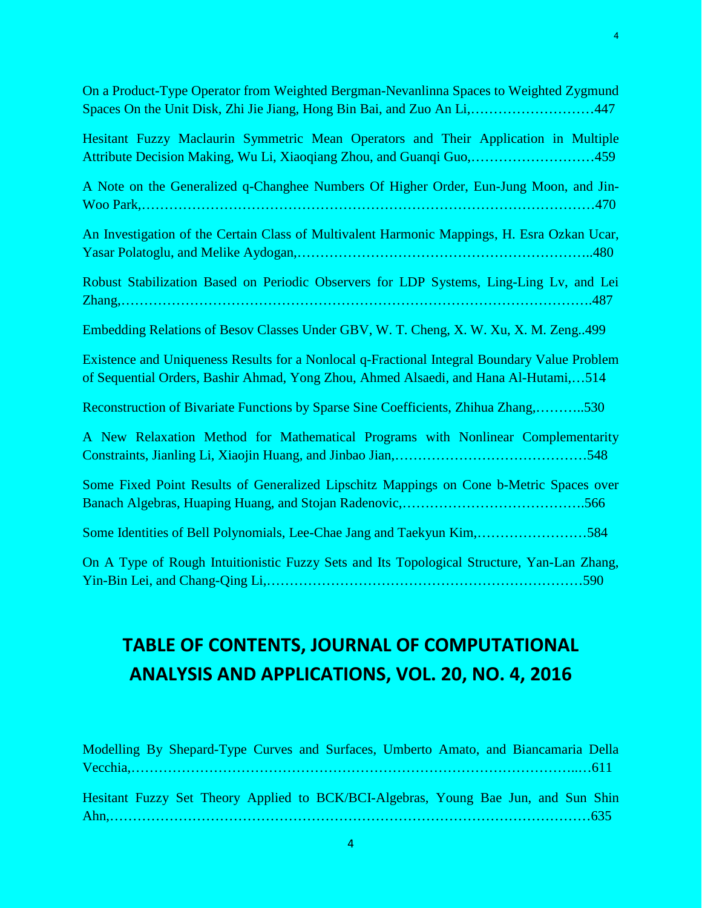| On a Product-Type Operator from Weighted Bergman-Nevanlinna Spaces to Weighted Zygmund<br>Spaces On the Unit Disk, Zhi Jie Jiang, Hong Bin Bai, and Zuo An Li,        447            |
|--------------------------------------------------------------------------------------------------------------------------------------------------------------------------------------|
| Hesitant Fuzzy Maclaurin Symmetric Mean Operators and Their Application in Multiple<br>Attribute Decision Making, Wu Li, Xiaoqiang Zhou, and Guanqi Guo,459                          |
| A Note on the Generalized q-Changhee Numbers Of Higher Order, Eun-Jung Moon, and Jin-                                                                                                |
| An Investigation of the Certain Class of Multivalent Harmonic Mappings, H. Esra Ozkan Ucar,                                                                                          |
| Robust Stabilization Based on Periodic Observers for LDP Systems, Ling-Ling Lv, and Lei                                                                                              |
| Embedding Relations of Besov Classes Under GBV, W. T. Cheng, X. W. Xu, X. M. Zeng499                                                                                                 |
| Existence and Uniqueness Results for a Nonlocal q-Fractional Integral Boundary Value Problem<br>of Sequential Orders, Bashir Ahmad, Yong Zhou, Ahmed Alsaedi, and Hana Al-Hutami,514 |
| Reconstruction of Bivariate Functions by Sparse Sine Coefficients, Zhihua Zhang,530                                                                                                  |
| A New Relaxation Method for Mathematical Programs with Nonlinear Complementarity                                                                                                     |
| Some Fixed Point Results of Generalized Lipschitz Mappings on Cone b-Metric Spaces over                                                                                              |
| Some Identities of Bell Polynomials, Lee-Chae Jang and Taekyun Kim,584                                                                                                               |
| On A Type of Rough Intuitionistic Fuzzy Sets and Its Topological Structure, Yan-Lan Zhang,                                                                                           |

# **TABLE OF CONTENTS, JOURNAL OF COMPUTATIONAL ANALYSIS AND APPLICATIONS, VOL. 20, NO. 4, 2016**

| Modelling By Shepard-Type Curves and Surfaces, Umberto Amato, and Biancamaria Della |  |  |  |  |  |  |  |
|-------------------------------------------------------------------------------------|--|--|--|--|--|--|--|
|                                                                                     |  |  |  |  |  |  |  |
|                                                                                     |  |  |  |  |  |  |  |
| Hesitant Fuzzy Set Theory Applied to BCK/BCI-Algebras, Young Bae Jun, and Sun Shin  |  |  |  |  |  |  |  |
|                                                                                     |  |  |  |  |  |  |  |
|                                                                                     |  |  |  |  |  |  |  |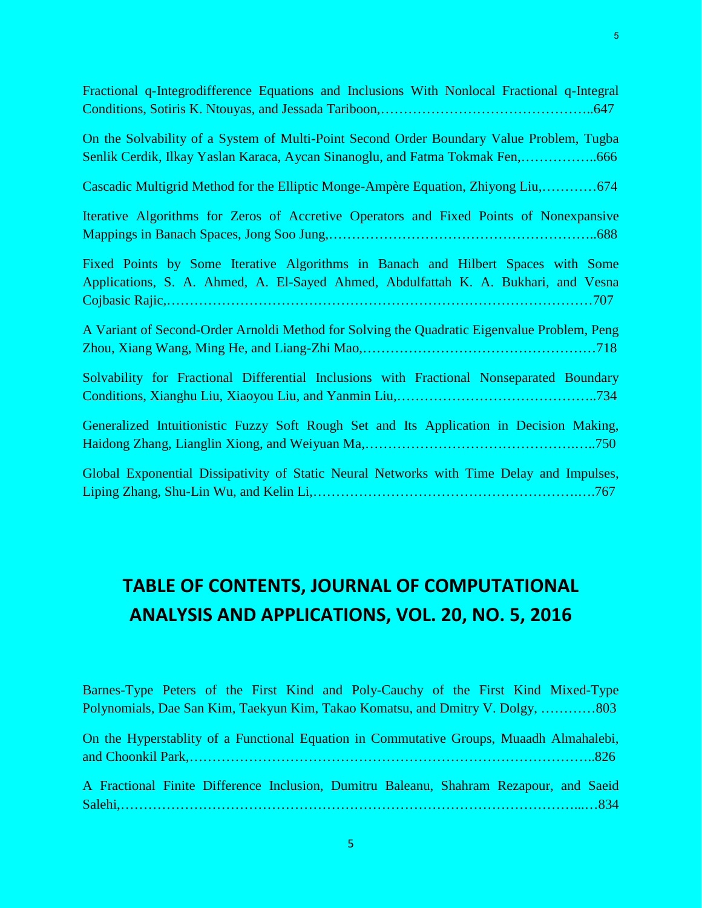Fractional q-Integrodifference Equations and Inclusions With Nonlocal Fractional q-Integral Conditions, Sotiris K. Ntouyas, and Jessada Tariboon,………………………………………..647

On the Solvability of a System of Multi-Point Second Order Boundary Value Problem, Tugba Senlik Cerdik, Ilkay Yaslan Karaca, Aycan Sinanoglu, and Fatma Tokmak Fen,……………..666

Cascadic Multigrid Method for the Elliptic Monge-Ampère Equation, Zhiyong Liu,…………674

Iterative Algorithms for Zeros of Accretive Operators and Fixed Points of Nonexpansive Mappings in Banach Spaces, Jong Soo Jung,…………………………………………………..688

Fixed Points by Some Iterative Algorithms in Banach and Hilbert Spaces with Some Applications, S. A. Ahmed, A. El-Sayed Ahmed, Abdulfattah K. A. Bukhari, and Vesna Cojbasic Rajic,…………………………………………………………………………………707

A Variant of Second-Order Arnoldi Method for Solving the Quadratic Eigenvalue Problem, Peng Zhou, Xiang Wang, Ming He, and Liang-Zhi Mao,……………………………………………718

Solvability for Fractional Differential Inclusions with Fractional Nonseparated Boundary Conditions, Xianghu Liu, Xiaoyou Liu, and Yanmin Liu,……………………………………..734

Generalized Intuitionistic Fuzzy Soft Rough Set and Its Application in Decision Making, Haidong Zhang, Lianglin Xiong, and Weiyuan Ma,……………………………………….…..750

Global Exponential Dissipativity of Static Neural Networks with Time Delay and Impulses, Liping Zhang, Shu-Lin Wu, and Kelin Li,………………………………………………….….767

#### **TABLE OF CONTENTS, JOURNAL OF COMPUTATIONAL ANALYSIS AND APPLICATIONS, VOL. 20, NO. 5, 2016**

Barnes-Type Peters of the First Kind and Poly-Cauchy of the First Kind Mixed-Type Polynomials, Dae San Kim, Taekyun Kim, Takao Komatsu, and Dmitry V. Dolgy, …………803

On the Hyperstablity of a Functional Equation in Commutative Groups, Muaadh Almahalebi, and Choonkil Park,……………………………………………………………………………..826

A Fractional Finite Difference Inclusion, Dumitru Baleanu, Shahram Rezapour, and Saeid Salehi,………………………………………………………………………………………...…834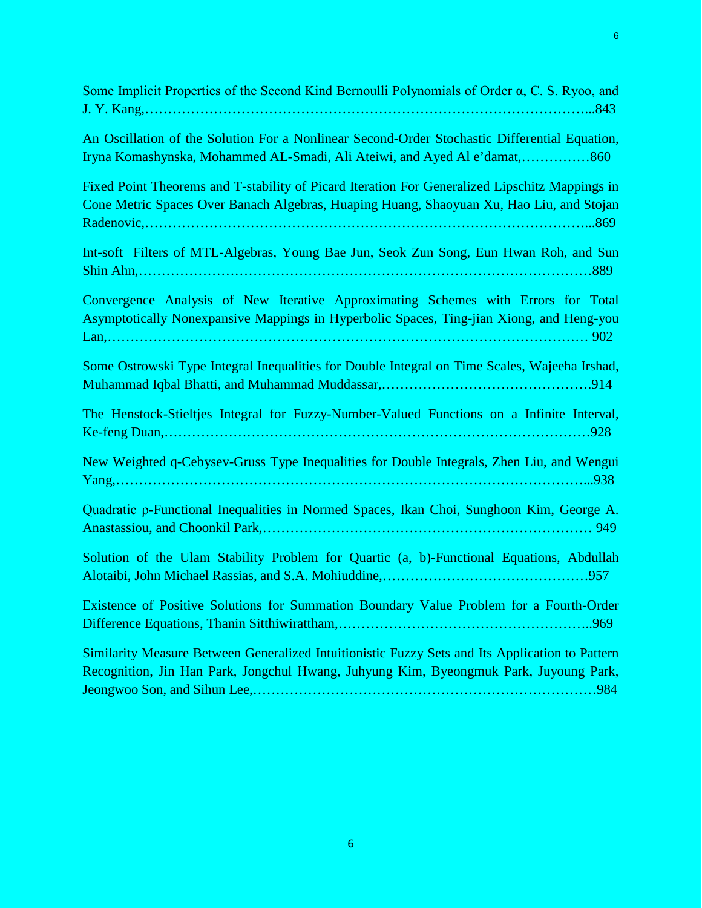| Some Implicit Properties of the Second Kind Bernoulli Polynomials of Order a, C. S. Ryoo, and                                                                                              |
|--------------------------------------------------------------------------------------------------------------------------------------------------------------------------------------------|
| An Oscillation of the Solution For a Nonlinear Second-Order Stochastic Differential Equation,<br>Iryna Komashynska, Mohammed AL-Smadi, Ali Ateiwi, and Ayed Al e'damat,860                 |
| Fixed Point Theorems and T-stability of Picard Iteration For Generalized Lipschitz Mappings in<br>Cone Metric Spaces Over Banach Algebras, Huaping Huang, Shaoyuan Xu, Hao Liu, and Stojan |
| Int-soft Filters of MTL-Algebras, Young Bae Jun, Seok Zun Song, Eun Hwan Roh, and Sun                                                                                                      |
| Convergence Analysis of New Iterative Approximating Schemes with Errors for Total<br>Asymptotically Nonexpansive Mappings in Hyperbolic Spaces, Ting-jian Xiong, and Heng-you              |
| Some Ostrowski Type Integral Inequalities for Double Integral on Time Scales, Wajeeha Irshad,                                                                                              |
| The Henstock-Stieltjes Integral for Fuzzy-Number-Valued Functions on a Infinite Interval,                                                                                                  |
| New Weighted q-Cebysev-Gruss Type Inequalities for Double Integrals, Zhen Liu, and Wengui                                                                                                  |
| Quadratic p-Functional Inequalities in Normed Spaces, Ikan Choi, Sunghoon Kim, George A.                                                                                                   |
| Solution of the Ulam Stability Problem for Quartic (a, b)-Functional Equations, Abdullah                                                                                                   |
| Existence of Positive Solutions for Summation Boundary Value Problem for a Fourth-Order                                                                                                    |
| Similarity Measure Between Generalized Intuitionistic Fuzzy Sets and Its Application to Pattern<br>Recognition, Jin Han Park, Jongchul Hwang, Juhyung Kim, Byeongmuk Park, Juyoung Park,   |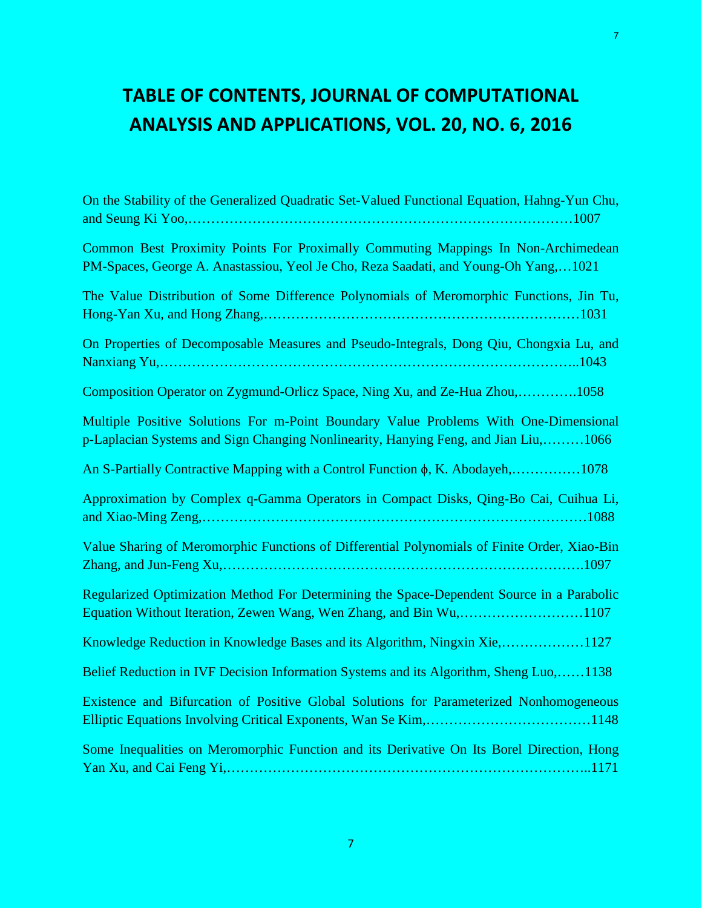# **TABLE OF CONTENTS, JOURNAL OF COMPUTATIONAL ANALYSIS AND APPLICATIONS, VOL. 20, NO. 6, 2016**

| On the Stability of the Generalized Quadratic Set-Valued Functional Equation, Hahng-Yun Chu,                                                                                |
|-----------------------------------------------------------------------------------------------------------------------------------------------------------------------------|
| Common Best Proximity Points For Proximally Commuting Mappings In Non-Archimedean<br>PM-Spaces, George A. Anastassiou, Yeol Je Cho, Reza Saadati, and Young-Oh Yang,1021    |
| The Value Distribution of Some Difference Polynomials of Meromorphic Functions, Jin Tu,                                                                                     |
| On Properties of Decomposable Measures and Pseudo-Integrals, Dong Qiu, Chongxia Lu, and                                                                                     |
| Composition Operator on Zygmund-Orlicz Space, Ning Xu, and Ze-Hua Zhou,1058                                                                                                 |
| Multiple Positive Solutions For m-Point Boundary Value Problems With One-Dimensional<br>p-Laplacian Systems and Sign Changing Nonlinearity, Hanying Feng, and Jian Liu,1066 |
| An S-Partially Contractive Mapping with a Control Function φ, K. Abodayeh,1078                                                                                              |
| Approximation by Complex q-Gamma Operators in Compact Disks, Qing-Bo Cai, Cuihua Li,                                                                                        |
| Value Sharing of Meromorphic Functions of Differential Polynomials of Finite Order, Xiao-Bin                                                                                |
| Regularized Optimization Method For Determining the Space-Dependent Source in a Parabolic<br>Equation Without Iteration, Zewen Wang, Wen Zhang, and Bin Wu,1107             |
| Knowledge Reduction in Knowledge Bases and its Algorithm, Ningxin Xie,1127                                                                                                  |
| Belief Reduction in IVF Decision Information Systems and its Algorithm, Sheng Luo,1138                                                                                      |
| Existence and Bifurcation of Positive Global Solutions for Parameterized Nonhomogeneous                                                                                     |
| Some Inequalities on Meromorphic Function and its Derivative On Its Borel Direction, Hong                                                                                   |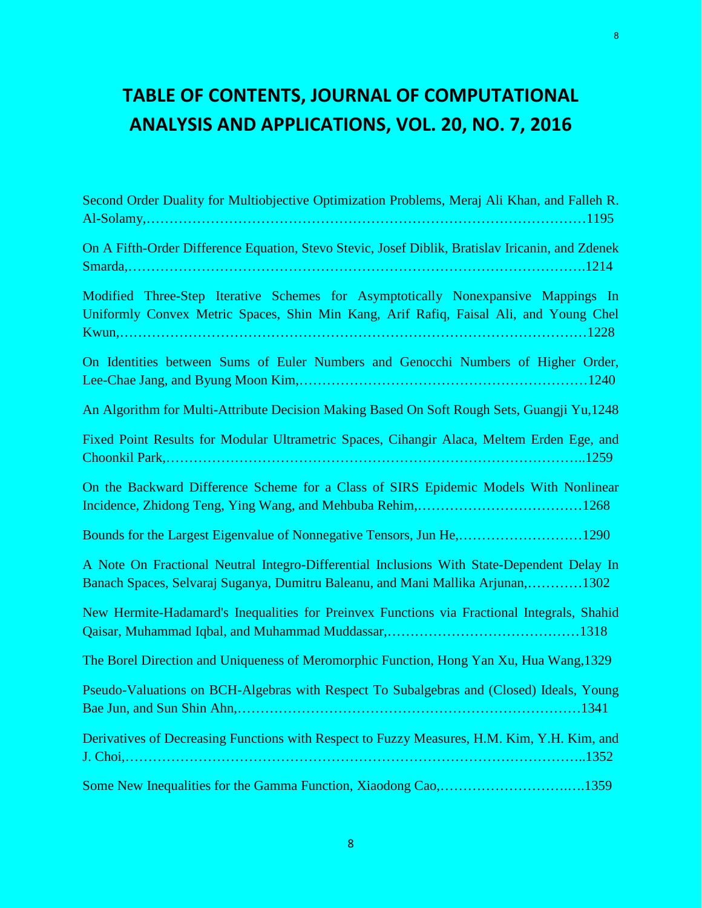# **TABLE OF CONTENTS, JOURNAL OF COMPUTATIONAL ANALYSIS AND APPLICATIONS, VOL. 20, NO. 7, 2016**

| Second Order Duality for Multiobjective Optimization Problems, Meraj Ali Khan, and Falleh R.                                                                                  |
|-------------------------------------------------------------------------------------------------------------------------------------------------------------------------------|
| On A Fifth-Order Difference Equation, Stevo Stevic, Josef Diblik, Bratislav Iricanin, and Zdenek                                                                              |
| Modified Three-Step Iterative Schemes for Asymptotically Nonexpansive Mappings In<br>Uniformly Convex Metric Spaces, Shin Min Kang, Arif Rafiq, Faisal Ali, and Young Chel    |
| On Identities between Sums of Euler Numbers and Genocchi Numbers of Higher Order,                                                                                             |
| An Algorithm for Multi-Attribute Decision Making Based On Soft Rough Sets, Guangji Yu,1248                                                                                    |
| Fixed Point Results for Modular Ultrametric Spaces, Cihangir Alaca, Meltem Erden Ege, and                                                                                     |
| On the Backward Difference Scheme for a Class of SIRS Epidemic Models With Nonlinear                                                                                          |
| Bounds for the Largest Eigenvalue of Nonnegative Tensors, Jun He,1290                                                                                                         |
| A Note On Fractional Neutral Integro-Differential Inclusions With State-Dependent Delay In<br>Banach Spaces, Selvaraj Suganya, Dumitru Baleanu, and Mani Mallika Arjunan,1302 |
| New Hermite-Hadamard's Inequalities for Preinvex Functions via Fractional Integrals, Shahid                                                                                   |
| The Borel Direction and Uniqueness of Meromorphic Function, Hong Yan Xu, Hua Wang, 1329                                                                                       |
| Pseudo-Valuations on BCH-Algebras with Respect To Subalgebras and (Closed) Ideals, Young                                                                                      |
| Derivatives of Decreasing Functions with Respect to Fuzzy Measures, H.M. Kim, Y.H. Kim, and                                                                                   |
| Some New Inequalities for the Gamma Function, Xiaodong Cao,1359                                                                                                               |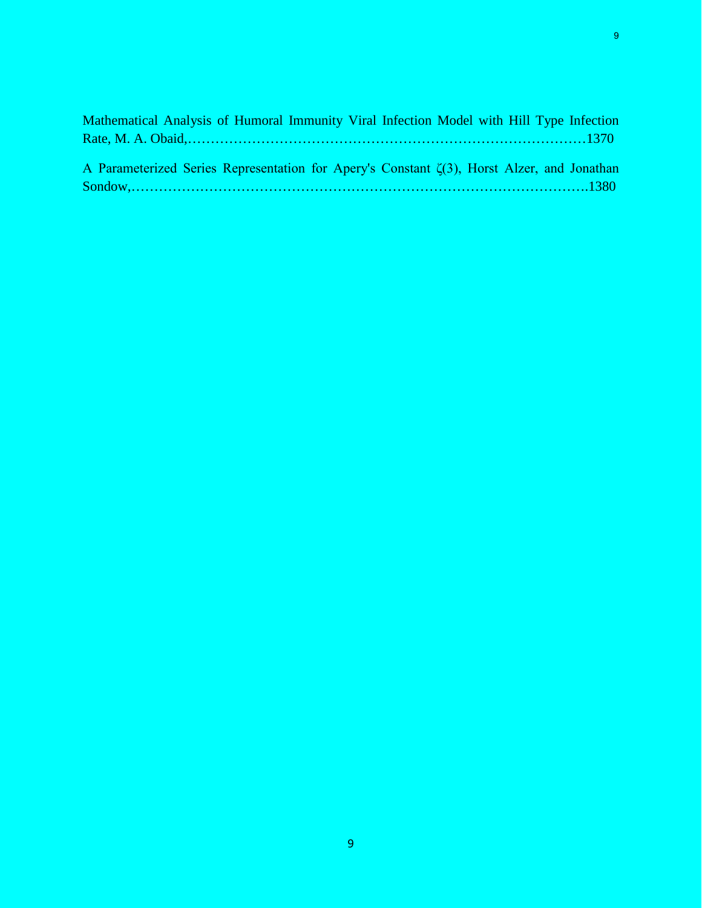| Mathematical Analysis of Humoral Immunity Viral Infection Model with Hill Type Infection          |  |
|---------------------------------------------------------------------------------------------------|--|
|                                                                                                   |  |
|                                                                                                   |  |
| A Parameterized Series Representation for Apery's Constant $\zeta(3)$ , Horst Alzer, and Jonathan |  |
|                                                                                                   |  |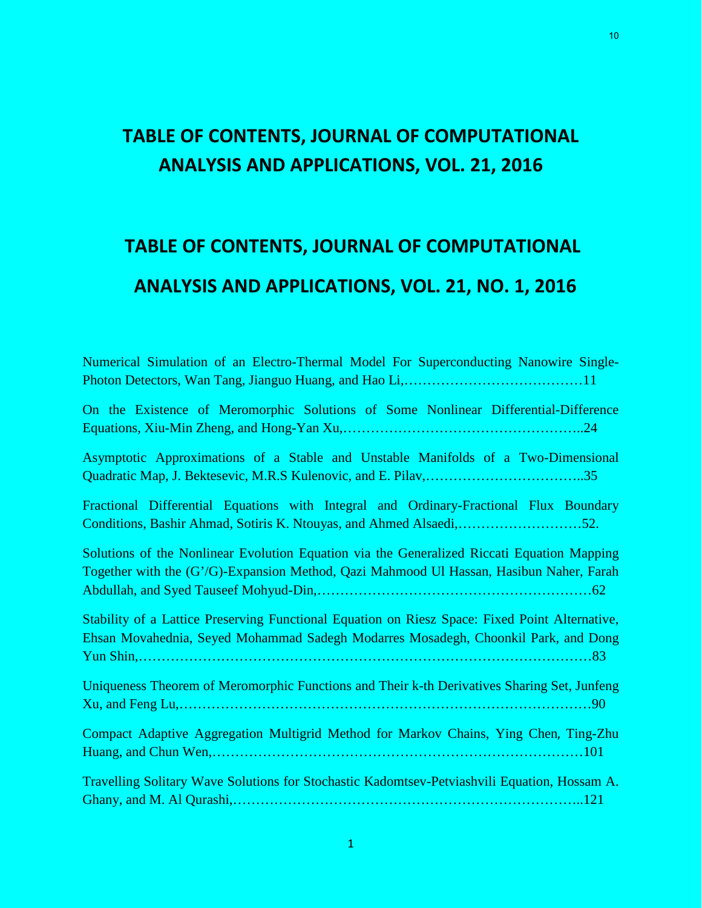#### **TABLE OF CONTENTS, JOURNAL OF COMPUTATIONAL ANALYSIS AND APPLICATIONS, VOL. 21, 2016**

# **TABLE OF CONTENTS, JOURNAL OF COMPUTATIONAL ANALYSIS AND APPLICATIONS, VOL. 21, NO. 1, 2016**

Numerical Simulation of an Electro-Thermal Model For Superconducting Nanowire Single-Photon Detectors, Wan Tang, Jianguo Huang, and Hao Li,…………………………………11 On the Existence of Meromorphic Solutions of Some Nonlinear Differential-Difference Equations, Xiu-Min Zheng, and Hong-Yan Xu,……………………………………………..24 Asymptotic Approximations of a Stable and Unstable Manifolds of a Two-Dimensional Quadratic Map, J. Bektesevic, M.R.S Kulenovic, and E. Pilav,……………………………..35 Fractional Differential Equations with Integral and Ordinary-Fractional Flux Boundary Conditions, Bashir Ahmad, Sotiris K. Ntouyas, and Ahmed Alsaedi,………………………52. Solutions of the Nonlinear Evolution Equation via the Generalized Riccati Equation Mapping Together with the (G'/G)-Expansion Method, Qazi Mahmood Ul Hassan, Hasibun Naher, Farah Abdullah, and Syed Tauseef Mohyud-Din,……………………………………………………62 Stability of a Lattice Preserving Functional Equation on Riesz Space: Fixed Point Alternative, Ehsan Movahednia, Seyed Mohammad Sadegh Modarres Mosadegh, Choonkil Park, and Dong Yun Shin,………………………………………………………………………………………83 Uniqueness Theorem of Meromorphic Functions and Their k-th Derivatives Sharing Set, Junfeng Xu, and Feng Lu,………………………………………………………………………………90 Compact Adaptive Aggregation Multigrid Method for Markov Chains, Ying Chen, Ting-Zhu Huang, and Chun Wen,………………………………………………………………………101 Travelling Solitary Wave Solutions for Stochastic Kadomtsev-Petviashvili Equation, Hossam A. Ghany, and M. Al Qurashi,…………………………………………………………………..121

10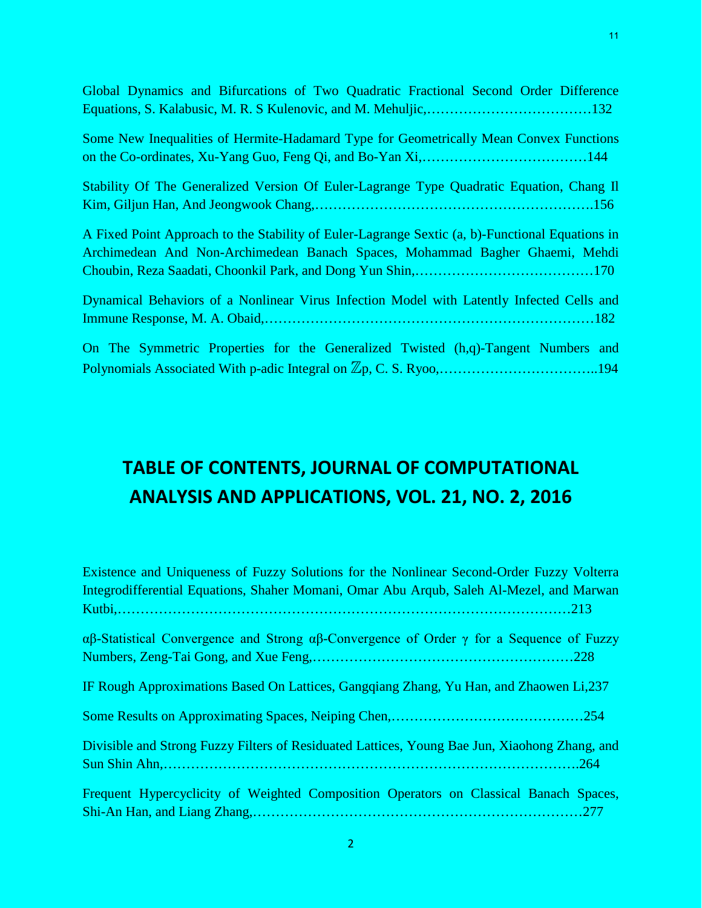| Global Dynamics and Bifurcations of Two Quadratic Fractional Second Order Difference                                                                                            |
|---------------------------------------------------------------------------------------------------------------------------------------------------------------------------------|
| Some New Inequalities of Hermite-Hadamard Type for Geometrically Mean Convex Functions                                                                                          |
| Stability Of The Generalized Version Of Euler-Lagrange Type Quadratic Equation, Chang II                                                                                        |
| A Fixed Point Approach to the Stability of Euler-Lagrange Sextic (a, b)-Functional Equations in<br>Archimedean And Non-Archimedean Banach Spaces, Mohammad Bagher Ghaemi, Mehdi |
| Dynamical Behaviors of a Nonlinear Virus Infection Model with Latently Infected Cells and                                                                                       |
| On The Symmetric Properties for the Generalized Twisted (h,q)-Tangent Numbers and                                                                                               |

### **TABLE OF CONTENTS, JOURNAL OF COMPUTATIONAL ANALYSIS AND APPLICATIONS, VOL. 21, NO. 2, 2016**

| Existence and Uniqueness of Fuzzy Solutions for the Nonlinear Second-Order Fuzzy Volterra                              |
|------------------------------------------------------------------------------------------------------------------------|
| Integrodifferential Equations, Shaher Momani, Omar Abu Arqub, Saleh Al-Mezel, and Marwan                               |
|                                                                                                                        |
| $\alpha\beta$ -Statistical Convergence and Strong $\alpha\beta$ -Convergence of Order $\gamma$ for a Sequence of Fuzzy |
|                                                                                                                        |
| IF Rough Approximations Based On Lattices, Gangqiang Zhang, Yu Han, and Zhaowen Li,237                                 |
|                                                                                                                        |
| Divisible and Strong Fuzzy Filters of Residuated Lattices, Young Bae Jun, Xiaohong Zhang, and                          |
|                                                                                                                        |
| Frequent Hypercyclicity of Weighted Composition Operators on Classical Banach Spaces,                                  |
|                                                                                                                        |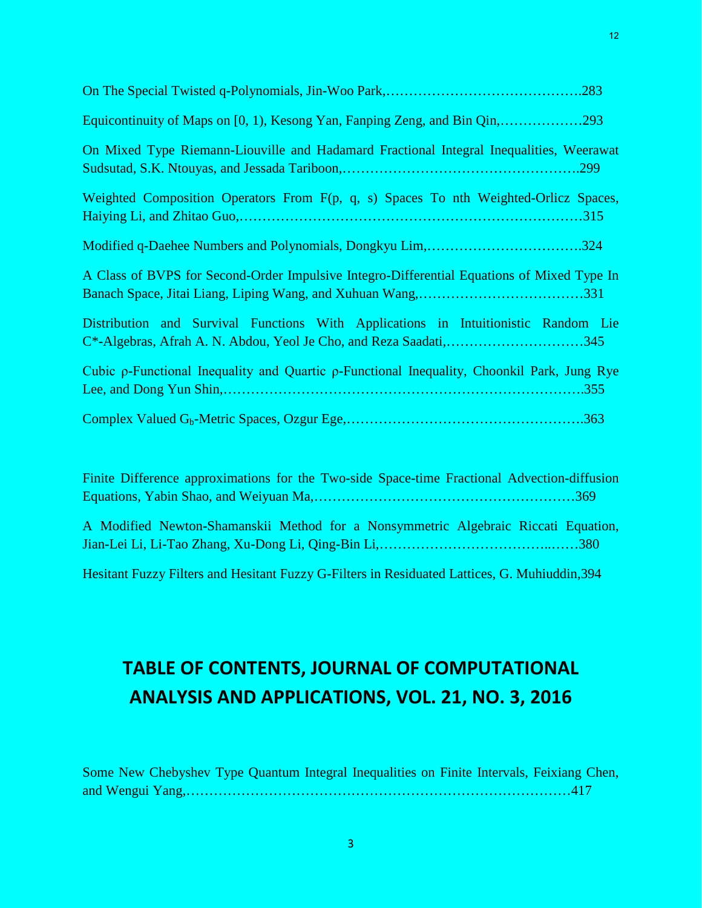| Equicontinuity of Maps on [0, 1), Kesong Yan, Fanping Zeng, and Bin Qin,293                                                                             |
|---------------------------------------------------------------------------------------------------------------------------------------------------------|
| On Mixed Type Riemann-Liouville and Hadamard Fractional Integral Inequalities, Weerawat<br>.299                                                         |
| Weighted Composition Operators From F(p, q, s) Spaces To nth Weighted-Orlicz Spaces,                                                                    |
| Modified q-Daehee Numbers and Polynomials, Dongkyu Lim,324                                                                                              |
| A Class of BVPS for Second-Order Impulsive Integro-Differential Equations of Mixed Type In                                                              |
| Distribution and Survival Functions With Applications in Intuitionistic Random Lie<br>C*-Algebras, Afrah A. N. Abdou, Yeol Je Cho, and Reza Saadati,345 |
| Cubic ρ-Functional Inequality and Quartic ρ-Functional Inequality, Choonkil Park, Jung Rye                                                              |
|                                                                                                                                                         |

Finite Difference approximations for the Two-side Space-time Fractional Advection-diffusion Equations, Yabin Shao, and Weiyuan Ma,…………………………………………………369 A Modified Newton-Shamanskii Method for a Nonsymmetric Algebraic Riccati Equation, Jian-Lei Li, Li-Tao Zhang, Xu-Dong Li, Qing-Bin Li,………………………………..……380

Hesitant Fuzzy Filters and Hesitant Fuzzy G-Filters in Residuated Lattices, G. Muhiuddin,394

### **TABLE OF CONTENTS, JOURNAL OF COMPUTATIONAL ANALYSIS AND APPLICATIONS, VOL. 21, NO. 3, 2016**

Some New Chebyshev Type Quantum Integral Inequalities on Finite Intervals, Feixiang Chen, and Wengui Yang,…………………………………………………………………………417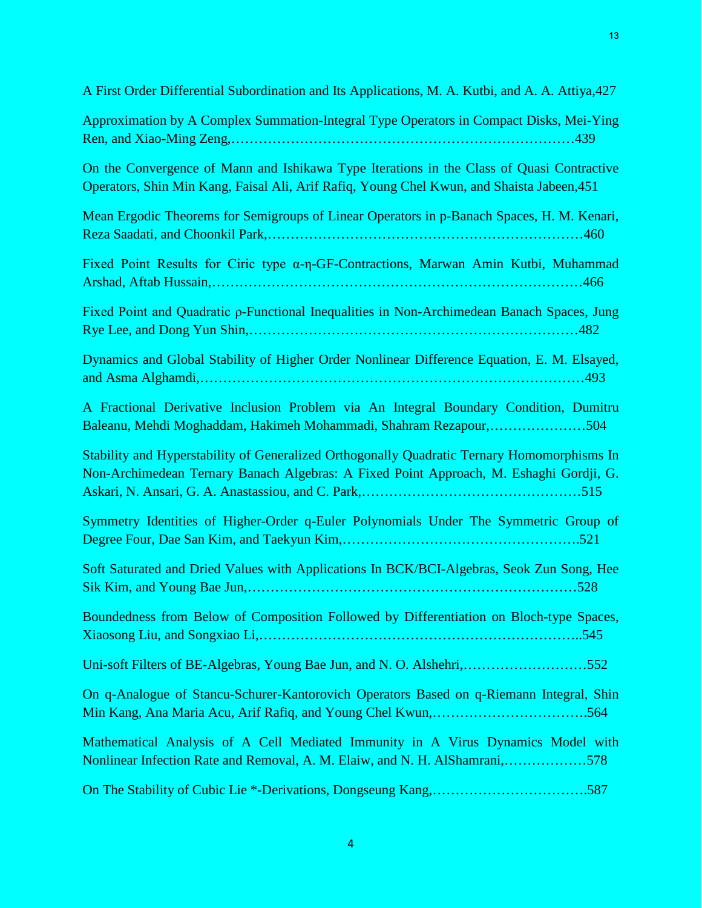| A First Order Differential Subordination and Its Applications, M. A. Kutbi, and A. A. Attiya, 427                                                                                       |
|-----------------------------------------------------------------------------------------------------------------------------------------------------------------------------------------|
| Approximation by A Complex Summation-Integral Type Operators in Compact Disks, Mei-Ying                                                                                                 |
| On the Convergence of Mann and Ishikawa Type Iterations in the Class of Quasi Contractive<br>Operators, Shin Min Kang, Faisal Ali, Arif Rafiq, Young Chel Kwun, and Shaista Jabeen, 451 |
| Mean Ergodic Theorems for Semigroups of Linear Operators in p-Banach Spaces, H. M. Kenari,                                                                                              |
| Fixed Point Results for Ciric type α-η-GF-Contractions, Marwan Amin Kutbi, Muhammad                                                                                                     |
| Fixed Point and Quadratic p-Functional Inequalities in Non-Archimedean Banach Spaces, Jung                                                                                              |
| Dynamics and Global Stability of Higher Order Nonlinear Difference Equation, E. M. Elsayed,                                                                                             |
| A Fractional Derivative Inclusion Problem via An Integral Boundary Condition, Dumitru<br>Baleanu, Mehdi Moghaddam, Hakimeh Mohammadi, Shahram Rezapour,504                              |
| Stability and Hyperstability of Generalized Orthogonally Quadratic Ternary Homomorphisms In<br>Non-Archimedean Ternary Banach Algebras: A Fixed Point Approach, M. Eshaghi Gordji, G.   |
| Symmetry Identities of Higher-Order q-Euler Polynomials Under The Symmetric Group of                                                                                                    |
| Soft Saturated and Dried Values with Applications In BCK/BCI-Algebras, Seok Zun Song, Hee                                                                                               |
| Boundedness from Below of Composition Followed by Differentiation on Bloch-type Spaces,                                                                                                 |
| Uni-soft Filters of BE-Algebras, Young Bae Jun, and N. O. Alshehri,552                                                                                                                  |
| On q-Analogue of Stancu-Schurer-Kantorovich Operators Based on q-Riemann Integral, Shin                                                                                                 |
| Mathematical Analysis of A Cell Mediated Immunity in A Virus Dynamics Model with<br>Nonlinear Infection Rate and Removal, A. M. Elaiw, and N. H. AlShamrani,578                         |
| On The Stability of Cubic Lie *-Derivations, Dongseung Kang,587                                                                                                                         |

4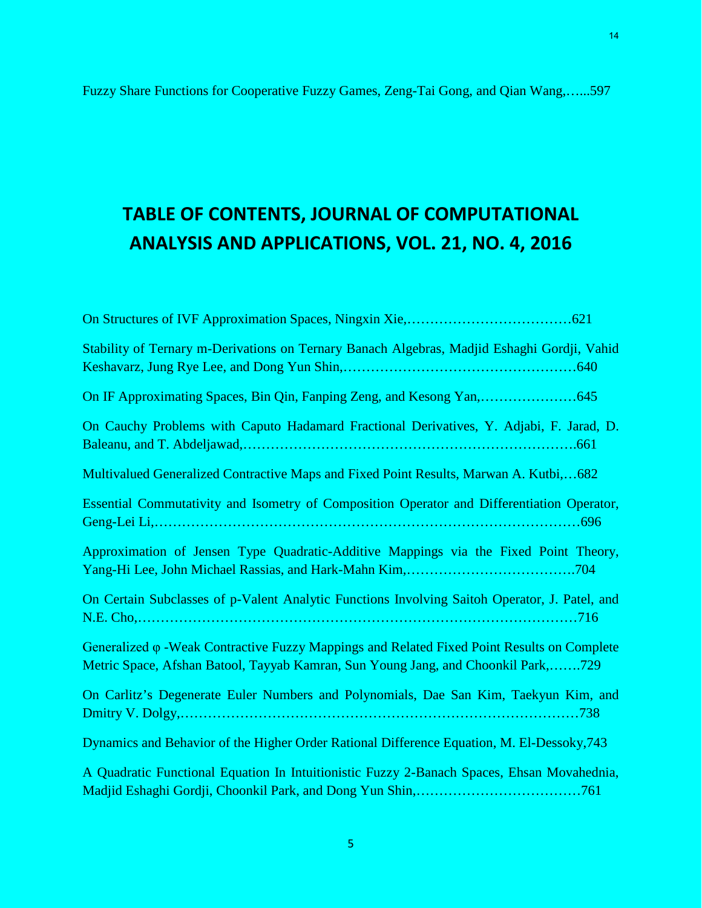14

### **TABLE OF CONTENTS, JOURNAL OF COMPUTATIONAL ANALYSIS AND APPLICATIONS, VOL. 21, NO. 4, 2016**

| Stability of Ternary m-Derivations on Ternary Banach Algebras, Madjid Eshaghi Gordji, Vahid                                                                                             |
|-----------------------------------------------------------------------------------------------------------------------------------------------------------------------------------------|
|                                                                                                                                                                                         |
| On Cauchy Problems with Caputo Hadamard Fractional Derivatives, Y. Adjabi, F. Jarad, D.                                                                                                 |
| Multivalued Generalized Contractive Maps and Fixed Point Results, Marwan A. Kutbi,682                                                                                                   |
| Essential Commutativity and Isometry of Composition Operator and Differentiation Operator,                                                                                              |
| Approximation of Jensen Type Quadratic-Additive Mappings via the Fixed Point Theory,                                                                                                    |
| On Certain Subclasses of p-Valent Analytic Functions Involving Saitoh Operator, J. Patel, and                                                                                           |
| Generalized $\varphi$ -Weak Contractive Fuzzy Mappings and Related Fixed Point Results on Complete<br>Metric Space, Afshan Batool, Tayyab Kamran, Sun Young Jang, and Choonkil Park,729 |
| On Carlitz's Degenerate Euler Numbers and Polynomials, Dae San Kim, Taekyun Kim, and                                                                                                    |
| Dynamics and Behavior of the Higher Order Rational Difference Equation, M. El-Dessoky, 743                                                                                              |
| A Quadratic Functional Equation In Intuitionistic Fuzzy 2-Banach Spaces, Ehsan Movahednia,                                                                                              |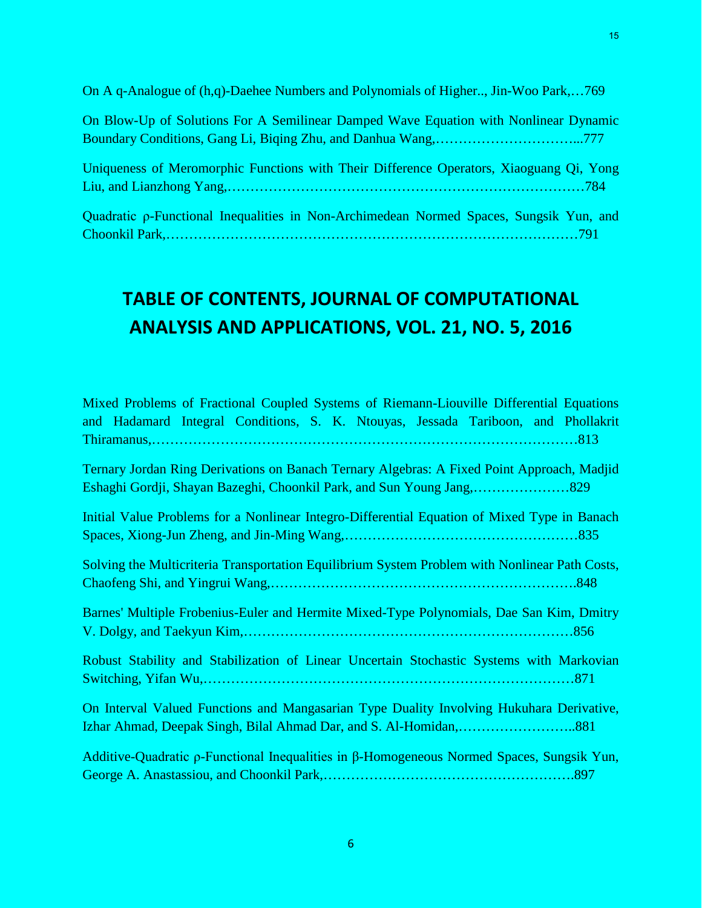On A q-Analogue of (h,q)-Daehee Numbers and Polynomials of Higher.., Jin-Woo Park,…769

| On Blow-Up of Solutions For A Semilinear Damped Wave Equation with Nonlinear Dynamic |  |
|--------------------------------------------------------------------------------------|--|
|                                                                                      |  |

Uniqueness of Meromorphic Functions with Their Difference Operators, Xiaoguang Qi, Yong Liu, and Lianzhong Yang,……………………………………………………………………784

Quadratic ρ-Functional Inequalities in Non-Archimedean Normed Spaces, Sungsik Yun, and Choonkil Park,………………………………………………………………………………791

#### **TABLE OF CONTENTS, JOURNAL OF COMPUTATIONAL ANALYSIS AND APPLICATIONS, VOL. 21, NO. 5, 2016**

| Mixed Problems of Fractional Coupled Systems of Riemann-Liouville Differential Equations<br>and Hadamard Integral Conditions, S. K. Ntouyas, Jessada Tariboon, and Phollakrit |
|-------------------------------------------------------------------------------------------------------------------------------------------------------------------------------|
| Ternary Jordan Ring Derivations on Banach Ternary Algebras: A Fixed Point Approach, Madjid                                                                                    |
| Initial Value Problems for a Nonlinear Integro-Differential Equation of Mixed Type in Banach                                                                                  |
| Solving the Multicriteria Transportation Equilibrium System Problem with Nonlinear Path Costs,                                                                                |
| Barnes' Multiple Frobenius-Euler and Hermite Mixed-Type Polynomials, Dae San Kim, Dmitry                                                                                      |
| Robust Stability and Stabilization of Linear Uncertain Stochastic Systems with Markovian                                                                                      |
| On Interval Valued Functions and Mangasarian Type Duality Involving Hukuhara Derivative,                                                                                      |
| Additive-Quadratic $\rho$ -Functional Inequalities in $\beta$ -Homogeneous Normed Spaces, Sungsik Yun,                                                                        |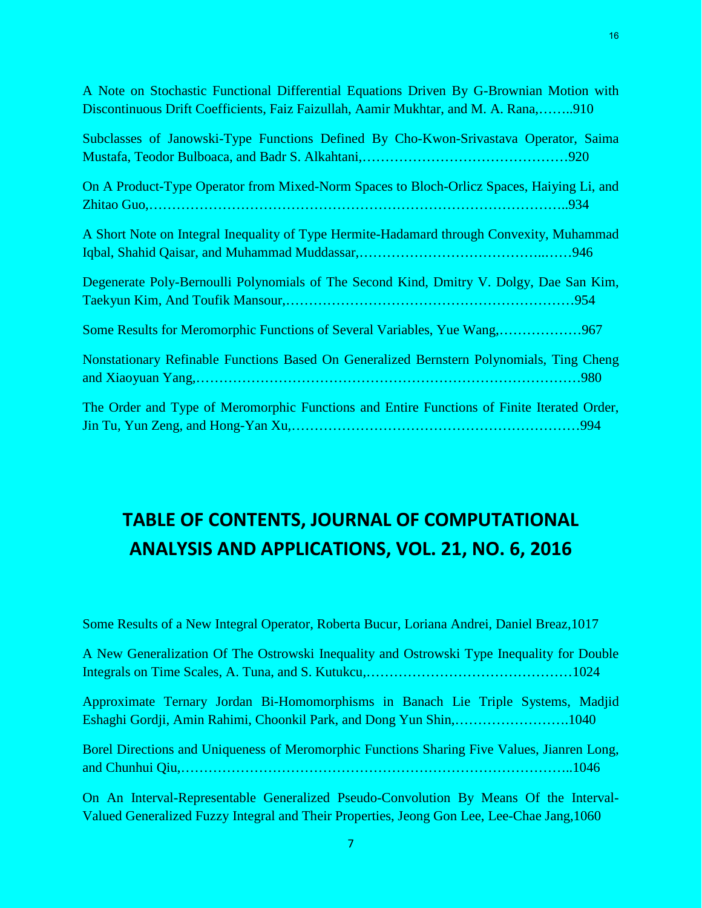| A Note on Stochastic Functional Differential Equations Driven By G-Brownian Motion with<br>Discontinuous Drift Coefficients, Faiz Faizullah, Aamir Mukhtar, and M. A. Rana,910 |
|--------------------------------------------------------------------------------------------------------------------------------------------------------------------------------|
| Subclasses of Janowski-Type Functions Defined By Cho-Kwon-Srivastava Operator, Saima                                                                                           |
| On A Product-Type Operator from Mixed-Norm Spaces to Bloch-Orlicz Spaces, Haiying Li, and                                                                                      |
| A Short Note on Integral Inequality of Type Hermite-Hadamard through Convexity, Muhammad                                                                                       |
| Degenerate Poly-Bernoulli Polynomials of The Second Kind, Dmitry V. Dolgy, Dae San Kim,<br>.954                                                                                |
| Some Results for Meromorphic Functions of Several Variables, Yue Wang,967                                                                                                      |
| Nonstationary Refinable Functions Based On Generalized Bernstern Polynomials, Ting Cheng                                                                                       |
| The Order and Type of Meromorphic Functions and Entire Functions of Finite Iterated Order,<br>.994                                                                             |

#### **TABLE OF CONTENTS, JOURNAL OF COMPUTATIONAL ANALYSIS AND APPLICATIONS, VOL. 21, NO. 6, 2016**

Some Results of a New Integral Operator, Roberta Bucur, Loriana Andrei, Daniel Breaz,1017

A New Generalization Of The Ostrowski Inequality and Ostrowski Type Inequality for Double Integrals on Time Scales, A. Tuna, and S. Kutukcu,………………………………………1024

Approximate Ternary Jordan Bi-Homomorphisms in Banach Lie Triple Systems, Madjid Eshaghi Gordji, Amin Rahimi, Choonkil Park, and Dong Yun Shin,…………………….1040

Borel Directions and Uniqueness of Meromorphic Functions Sharing Five Values, Jianren Long, and Chunhui Qiu,…………………………………………………………………………..1046

On An Interval-Representable Generalized Pseudo-Convolution By Means Of the Interval-Valued Generalized Fuzzy Integral and Their Properties, Jeong Gon Lee, Lee-Chae Jang,1060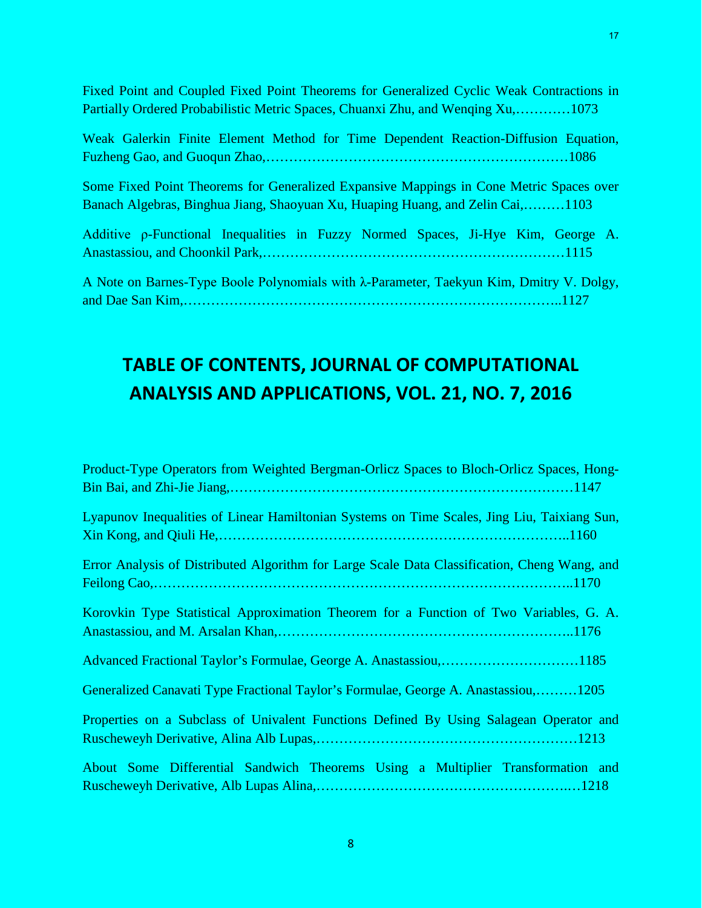Fixed Point and Coupled Fixed Point Theorems for Generalized Cyclic Weak Contractions in Partially Ordered Probabilistic Metric Spaces, Chuanxi Zhu, and Wenqing Xu,…………1073

|  |  |  |  | Weak Galerkin Finite Element Method for Time Dependent Reaction-Diffusion Equation, |  |
|--|--|--|--|-------------------------------------------------------------------------------------|--|
|  |  |  |  |                                                                                     |  |

Some Fixed Point Theorems for Generalized Expansive Mappings in Cone Metric Spaces over Banach Algebras, Binghua Jiang, Shaoyuan Xu, Huaping Huang, and Zelin Cai,………1103

| Additive p-Functional Inequalities in Fuzzy Normed Spaces, Ji-Hye Kim, George A.                 |  |  |  |  |  |
|--------------------------------------------------------------------------------------------------|--|--|--|--|--|
|                                                                                                  |  |  |  |  |  |
|                                                                                                  |  |  |  |  |  |
| A Note on Barnes-Type Boole Polynomials with $\lambda$ -Parameter, Taekyun Kim, Dmitry V. Dolgy, |  |  |  |  |  |
|                                                                                                  |  |  |  |  |  |

#### **TABLE OF CONTENTS, JOURNAL OF COMPUTATIONAL ANALYSIS AND APPLICATIONS, VOL. 21, NO. 7, 2016**

| Product-Type Operators from Weighted Bergman-Orlicz Spaces to Bloch-Orlicz Spaces, Hong-     |
|----------------------------------------------------------------------------------------------|
| Lyapunov Inequalities of Linear Hamiltonian Systems on Time Scales, Jing Liu, Taixiang Sun,  |
| Error Analysis of Distributed Algorithm for Large Scale Data Classification, Cheng Wang, and |
| Korovkin Type Statistical Approximation Theorem for a Function of Two Variables, G. A.       |
| Advanced Fractional Taylor's Formulae, George A. Anastassiou,1185                            |
| Generalized Canavati Type Fractional Taylor's Formulae, George A. Anastassiou,1205           |
| Properties on a Subclass of Univalent Functions Defined By Using Salagean Operator and       |
| About Some Differential Sandwich Theorems Using a Multiplier Transformation and              |